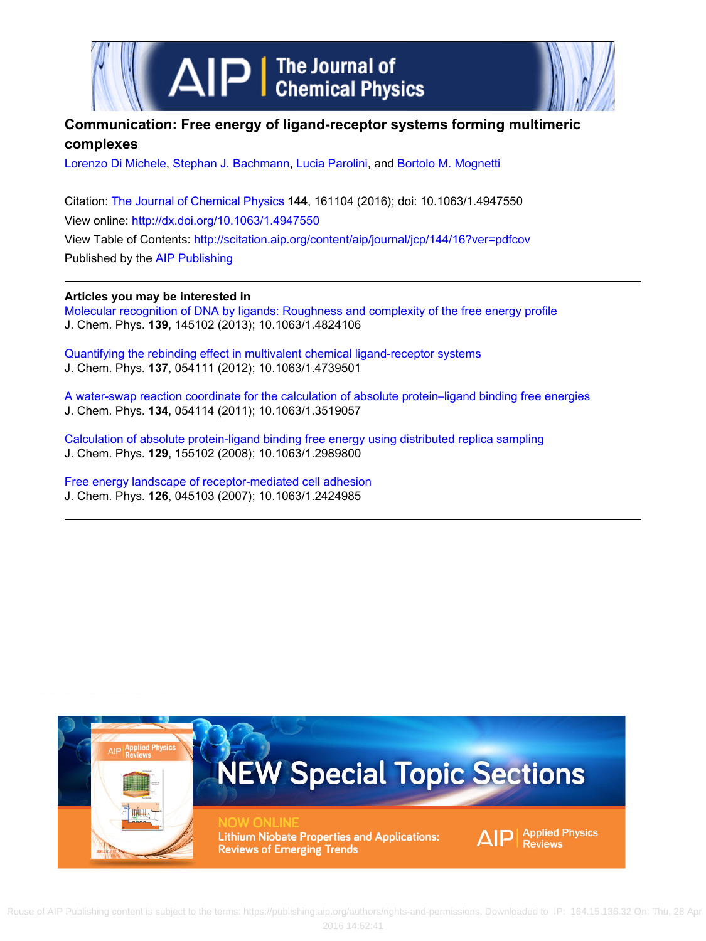



## **Communication: Free energy of ligand-receptor systems forming multimeric complexes**

[Lorenzo Di Michele,](http://scitation.aip.org/search?value1=Lorenzo+Di+Michele&option1=author) [Stephan J. Bachmann,](http://scitation.aip.org/search?value1=Stephan+J.+Bachmann&option1=author) [Lucia Parolini](http://scitation.aip.org/search?value1=Lucia+Parolini&option1=author), and [Bortolo M. Mognetti](http://scitation.aip.org/search?value1=Bortolo+M.+Mognetti&option1=author)

Citation: [The Journal of Chemical Physics](http://scitation.aip.org/content/aip/journal/jcp?ver=pdfcov) **144**, 161104 (2016); doi: 10.1063/1.4947550 View online: <http://dx.doi.org/10.1063/1.4947550> View Table of Contents:<http://scitation.aip.org/content/aip/journal/jcp/144/16?ver=pdfcov> Published by the [AIP Publishing](http://scitation.aip.org/content/aip?ver=pdfcov)

## **Articles you may be interested in**

[Molecular recognition of DNA by ligands: Roughness and complexity of the free energy profile](http://scitation.aip.org/content/aip/journal/jcp/139/14/10.1063/1.4824106?ver=pdfcov) J. Chem. Phys. **139**, 145102 (2013); 10.1063/1.4824106

[Quantifying the rebinding effect in multivalent chemical ligand-receptor systems](http://scitation.aip.org/content/aip/journal/jcp/137/5/10.1063/1.4739501?ver=pdfcov) J. Chem. Phys. **137**, 054111 (2012); 10.1063/1.4739501

[A water-swap reaction coordinate for the calculation of absolute protein–ligand binding free energies](http://scitation.aip.org/content/aip/journal/jcp/134/5/10.1063/1.3519057?ver=pdfcov) J. Chem. Phys. **134**, 054114 (2011); 10.1063/1.3519057

[Calculation of absolute protein-ligand binding free energy using distributed replica sampling](http://scitation.aip.org/content/aip/journal/jcp/129/15/10.1063/1.2989800?ver=pdfcov) J. Chem. Phys. **129**, 155102 (2008); 10.1063/1.2989800

[Free energy landscape of receptor-mediated cell adhesion](http://scitation.aip.org/content/aip/journal/jcp/126/4/10.1063/1.2424985?ver=pdfcov) J. Chem. Phys. **126**, 045103 (2007); 10.1063/1.2424985



 Reuse of AIP Publishing content is subject to the terms: https://publishing.aip.org/authors/rights-and-permissions. Downloaded to IP: 164.15.136.32 On: Thu, 28 Apr 2016 14:52:41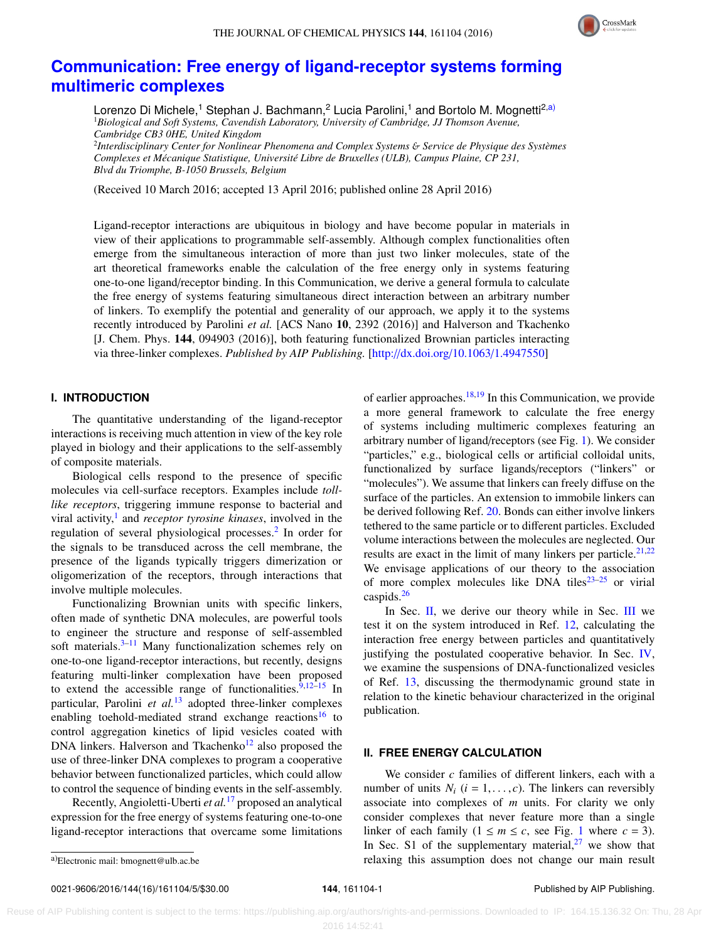

# **[Communication: Free energy of ligand-receptor systems forming](http://dx.doi.org/10.1063/1.4947550) [multimeric complexes](http://dx.doi.org/10.1063/1.4947550)**

Lorenzo Di Michele,<sup>1</sup> Stephan J. Bachmann,<sup>2</sup> Lucia Parolini,<sup>1</sup> and Bortolo M. Mognetti<sup>2[,a\)](#page-1-0)</sup> <sup>1</sup>*Biological and Soft Systems, Cavendish Laboratory, University of Cambridge, JJ Thomson Avenue, Cambridge CB3 0HE, United Kingdom*

2 *Interdisciplinary Center for Nonlinear Phenomena and Complex Systems* & *Service de Physique des Systèmes Complexes et Mécanique Statistique, Université Libre de Bruxelles (ULB), Campus Plaine, CP 231, Blvd du Triomphe, B-1050 Brussels, Belgium*

(Received 10 March 2016; accepted 13 April 2016; published online 28 April 2016)

Ligand-receptor interactions are ubiquitous in biology and have become popular in materials in view of their applications to programmable self-assembly. Although complex functionalities often emerge from the simultaneous interaction of more than just two linker molecules, state of the art theoretical frameworks enable the calculation of the free energy only in systems featuring one-to-one ligand/receptor binding. In this Communication, we derive a general formula to calculate the free energy of systems featuring simultaneous direct interaction between an arbitrary number of linkers. To exemplify the potential and generality of our approach, we apply it to the systems recently introduced by Parolini *et al.* [ACS Nano 10, 2392 (2016)] and Halverson and Tkachenko [J. Chem. Phys. 144, 094903 (2016)], both featuring functionalized Brownian particles interacting via three-linker complexes. *Published by AIP Publishing.* [\[http:](http://dx.doi.org/10.1063/1.4947550)//[dx.doi.org](http://dx.doi.org/10.1063/1.4947550)/[10.1063](http://dx.doi.org/10.1063/1.4947550)/[1.4947550\]](http://dx.doi.org/10.1063/1.4947550)

## **I. INTRODUCTION**

The quantitative understanding of the ligand-receptor interactions is receiving much attention in view of the key role played in biology and their applications to the self-assembly of composite materials.

Biological cells respond to the presence of specific molecules via cell-surface receptors. Examples include *tolllike receptors*, triggering immune response to bacterial and viral activity,<sup>[1](#page-5-0)</sup> and *receptor tyrosine kinases*, involved in the regulation of several physiological processes.<sup>[2](#page-5-1)</sup> In order for the signals to be transduced across the cell membrane, the presence of the ligands typically triggers dimerization or oligomerization of the receptors, through interactions that involve multiple molecules.

Functionalizing Brownian units with specific linkers, often made of synthetic DNA molecules, are powerful tools to engineer the structure and response of self-assembled soft materials. $3-11$  $3-11$  Many functionalization schemes rely on one-to-one ligand-receptor interactions, but recently, designs featuring multi-linker complexation have been proposed to extend the accessible range of functionalities. $9,12-15$  $9,12-15$  $9,12-15$  In particular, Parolini *et al.*[13](#page-5-7) adopted three-linker complexes enabling toehold-mediated strand exchange reactions<sup>[16](#page-5-8)</sup> to control aggregation kinetics of lipid vesicles coated with DNA linkers. Halverson and Tkachenko<sup>[12](#page-5-5)</sup> also proposed the use of three-linker DNA complexes to program a cooperative behavior between functionalized particles, which could allow to control the sequence of binding events in the self-assembly.

Recently, Angioletti-Uberti *et al.*[17](#page-5-9) proposed an analytical expression for the free energy of systems featuring one-to-one ligand-receptor interactions that overcame some limitations

of earlier approaches. $18,19$  $18,19$  In this Communication, we provide a more general framework to calculate the free energy of systems including multimeric complexes featuring an arbitrary number of ligand/receptors (see Fig. [1\)](#page-2-0). We consider "particles," e.g., biological cells or artificial colloidal units, functionalized by surface ligands/receptors ("linkers" or "molecules"). We assume that linkers can freely diffuse on the surface of the particles. An extension to immobile linkers can be derived following Ref. [20.](#page-5-12) Bonds can either involve linkers tethered to the same particle or to different particles. Excluded volume interactions between the molecules are neglected. Our results are exact in the limit of many linkers per particle. $21,22$  $21,22$ We envisage applications of our theory to the association of more complex molecules like DNA tiles $23-25$  $23-25$  or virial caspids.[26](#page-5-17)

In Sec.  $II$ , we derive our theory while in Sec. [III](#page-3-0) we test it on the system introduced in Ref. [12,](#page-5-5) calculating the interaction free energy between particles and quantitatively justifying the postulated cooperative behavior. In Sec. [IV,](#page-4-0) we examine the suspensions of DNA-functionalized vesicles of Ref. [13,](#page-5-7) discussing the thermodynamic ground state in relation to the kinetic behaviour characterized in the original publication.

### <span id="page-1-1"></span>**II. FREE ENERGY CALCULATION**

We consider *c* families of different linkers, each with a number of units  $N_i$  ( $i = 1, \ldots, c$ ). The linkers can reversibly associate into complexes of *m* units. For clarity we only consider complexes that never feature more than a single linker of each family  $(1 \le m \le c$  $(1 \le m \le c$  $(1 \le m \le c$ , see Fig. 1 where  $c = 3$ ). In Sec. S1 of the supplementary material, $27$  we show that relaxing this assumption does not change our main result

0021-9606/2016/144(16)/161104/5/\$30.00 **144**, 161104-1 Published by AIP Publishing.

<span id="page-1-0"></span>a)Electronic mail: [bmognett@ulb.ac.be](mailto:bmognett@ulb.ac.be)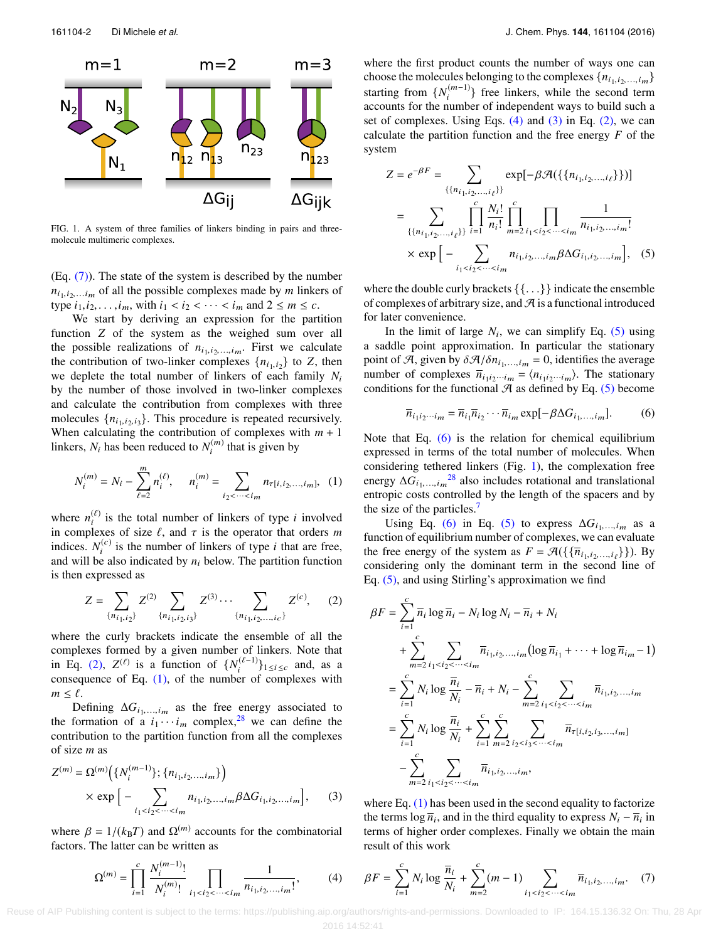<span id="page-2-0"></span>

FIG. 1. A system of three families of linkers binding in pairs and threemolecule multimeric complexes.

 $(Eq. (7))$  $(Eq. (7))$ . The state of the system is described by the number  $n_{i_1,i_2,...i_m}$  of all the possible complexes made by *m* linkers of type  $i_1, i_2, ..., i_m$ , with  $i_1 < i_2 < ... < i_m$  and  $2 \le m \le c$ .

We start by deriving an expression for the partition function *Z* of the system as the weighed sum over all the possible realizations of  $n_{i_1,i_2,\dots,i_m}$ . First we calculate the contribution of two-linker complexes  $\{n_{i_1,i_2}\}\$  to *Z*, then we deplete the total number of linkers of each family *N*<sup>i</sup> by the number of those involved in two-linker complexes and calculate the contribution from complexes with three molecules  $\{n_{i_1,i_2,i_3}\}\$ . This procedure is repeated recursively. When calculating the contribution of complexes with  $m + 1$ linkers,  $N_i$  has been reduced to  $N_i^{(m)}$  $t_i^{(m)}$  that is given by

$$
N_i^{(m)} = N_i - \sum_{\ell=2}^m n_i^{(\ell)}, \qquad n_i^{(m)} = \sum_{i_2 < \cdots < i_m} n_{\tau[i, i_2, \ldots, i_m]}, \tag{1}
$$

where  $n_i^{(\ell)}$  is the total number of linkers of type *i* involved in complexes of size  $\ell$ , and  $\tau$  is the operator that orders *m* indices.  $N_i^{(c)}$  $i^{(c)}$  is the number of linkers of type *i* that are free, and will be also indicated by  $n_i$  below. The partition function is then expressed as

$$
Z = \sum_{\{n_{i_1, i_2}\}} Z^{(2)} \sum_{\{n_{i_1, i_2, i_3}\}} Z^{(3)} \cdots \sum_{\{n_{i_1, i_2, \dots, i_c}\}} Z^{(c)}, \quad (2)
$$

where the curly brackets indicate the ensemble of all the complexes formed by a given number of linkers. Note that in Eq. [\(2\),](#page-2-2)  $Z^{(\ell)}$  is a function of  $\{N_i^{(\ell-1)}\}_{1\leq i\leq c}$  and, as a consequence of Eq.  $(1)$ , of the number of complexes with  $m \leq \ell$ .

Defining  $\Delta G_{i_1,...,i_m}$  as the free energy associated to formation of a *i* approximately 28 we see define the the formation of a  $i_1 \cdots i_m$  complex,<sup>[28](#page-5-19)</sup> we can define the contribution to the partition function from all the complexes of size *m* as

$$
Z^{(m)} = \Omega^{(m)}\Big(\{N_i^{(m-1)}\}; \{n_{i_1, i_2, \dots, i_m}\}\Big) \times \exp\Big[-\sum_{i_1 < i_2 < \dots < i_m} n_{i_1, i_2, \dots, i_m} \beta \Delta G_{i_1, i_2, \dots, i_m}\Big],\qquad(3)
$$

where  $\beta = 1/(k_B T)$  and  $\Omega^{(m)}$  accounts for the combinatorial factors. The latter can be written as factors. The latter can be written as

$$
\Omega^{(m)} = \prod_{i=1}^{c} \frac{N_i^{(m-1)!}}{N_i^{(m)!}} \prod_{i_1 < i_2 < \cdots < i_m} \frac{1}{n_{i_1, i_2, \dots, i_m!}},\tag{4}
$$

where the first product counts the number of ways one can choose the molecules belonging to the complexes  $\{n_{i_1,i_2,...,i_m}\}$ choose the molecules belonging to the complexes  $\{n_{i_1,i_2}\}$  starting from  $\{N_i^{(m-1)}\}$  free linkers, while the second  $\binom{(m-1)}{i}$  free linkers, while the second term accounts for the number of independent ways to build such a set of complexes. Using Eqs.  $(4)$  and  $(3)$  in Eq.  $(2)$ , we can calculate the partition function and the free energy *F* of the system

<span id="page-2-6"></span>
$$
Z = e^{-\beta F} = \sum_{\{\{n_{i_1, i_2, ..., i_\ell\}\}}}\exp[-\beta \mathcal{A}(\{\{n_{i_1, i_2, ..., i_\ell}\}\})]
$$

$$
= \sum_{\{\{n_{i_1, i_2, ..., i_\ell\}\}}}\prod_{i=1}^c \frac{N_i!}{n_i!} \prod_{m=2}^c \prod_{i_1 < i_2 < ... < i_m} \frac{1}{n_{i_1, i_2, ..., i_m}!}
$$

$$
\times \exp\Big[-\sum_{i_1 < i_2 < ... < i_m} n_{i_1, i_2, ..., i_m} \beta \Delta G_{i_1, i_2, ..., i_m}\Big], \quad (5)
$$

where the double curly brackets {{. . .}} indicate the ensemble of complexes of arbitrary size, and  $\mathcal A$  is a functional introduced for later convenience.

In the limit of large  $N_i$ , we can simplify Eq. [\(5\)](#page-2-6) using a saddle point approximation. In particular the stationary point of A, given by  $\delta \mathcal{A}/\delta n_{i_1,\dots,i_m} = 0$ , identifies the average<br>number of complexes  $\overline{n}_{i_1,\dots,i_m} = (n_{i_1,\dots,i_m})$ . The stationary number of complexes  $\overline{n}_{i_1 i_2 \cdots i_m} = \langle n_{i_1 i_2 \cdots i_m} \rangle$ . The stationary conditions for the functional  $A$  as defined by Eq. [\(5\)](#page-2-6) become

<span id="page-2-7"></span>
$$
\overline{n}_{i_1 i_2 \cdots i_m} = \overline{n}_{i_1} \overline{n}_{i_2} \cdots \overline{n}_{i_m} \exp[-\beta \Delta G_{i_1, \dots, i_m}].
$$
 (6)

<span id="page-2-3"></span>Note that Eq.  $(6)$  is the relation for chemical equilibrium expressed in terms of the total number of molecules. When considering tethered linkers (Fig. [1\)](#page-2-0), the complexation free energy  $\Delta G_{i_1,...,i_m}$ <sup>[28](#page-5-19)</sup> also includes rotational and translational antropic costs controlled by the larget of the energy and by entropic costs controlled by the length of the spacers and by the size of the particles.<sup>[7](#page-5-20)</sup>

Using Eq. [\(6\)](#page-2-7) in Eq. [\(5\)](#page-2-6) to express  $\Delta G_{i_1,...,i_m}$  as a straightenron continuous was an applicable. function of equilibrium number of complexes, we can evaluate the free energy of the system as  $F = \mathcal{A}(\{\{\overline{n}_{i_1,i_2,...,i_\ell}\}\})$ . By considering only the dominant term in the second line of Eq. [\(5\),](#page-2-6) and using Stirling's approximation we find

<span id="page-2-2"></span>
$$
\beta F = \sum_{i=1}^{c} \overline{n}_{i} \log \overline{n}_{i} - N_{i} \log N_{i} - \overline{n}_{i} + N_{i}
$$
  
+ 
$$
\sum_{m=2}^{c} \sum_{i_{1} < i_{2} < \cdots < i_{m}} \overline{n}_{i_{1}, i_{2}, \ldots, i_{m}} (\log \overline{n}_{i_{1}} + \cdots + \log \overline{n}_{i_{m}} - 1)
$$
  
= 
$$
\sum_{i=1}^{c} N_{i} \log \frac{\overline{n}_{i}}{N_{i}} - \overline{n}_{i} + N_{i} - \sum_{m=2}^{c} \sum_{i_{1} < i_{2} < \cdots < i_{m}} \overline{n}_{i_{1}, i_{2}, \ldots, i_{m}}
$$
  
= 
$$
\sum_{i=1}^{c} N_{i} \log \frac{\overline{n}_{i}}{N_{i}} + \sum_{i=1}^{c} \sum_{m=2}^{c} \sum_{i_{2} < i_{3} < \cdots < i_{m}} \overline{n}_{\tau[i, i_{2}, i_{3}, \ldots, i_{m}]}
$$
  
- 
$$
\sum_{m=2}^{c} \sum_{i_{1} < i_{2} < \cdots < i_{m}} \overline{n}_{i_{1}, i_{2}, \ldots, i_{m}},
$$

<span id="page-2-5"></span>where Eq.  $(1)$  has been used in the second equality to factorize the terms  $\log \overline{n}_i$ , and in the third equality to express  $N_i - \overline{n}_i$  in terms of higher order complexes. Finally we obtain the main result of this work

<span id="page-2-4"></span><span id="page-2-1"></span>
$$
\beta F = \sum_{i=1}^{c} N_i \log \frac{\overline{n}_i}{N_i} + \sum_{m=2}^{c} (m-1) \sum_{i_1 < i_2 < \dots < i_m} \overline{n}_{i_1, i_2, \dots, i_m}.\tag{7}
$$

 Reuse of AIP Publishing content is subject to the terms: https://publishing.aip.org/authors/rights-and-permissions. Downloaded to IP: 164.15.136.32 On: Thu, 28 Apr 2016 14:52:41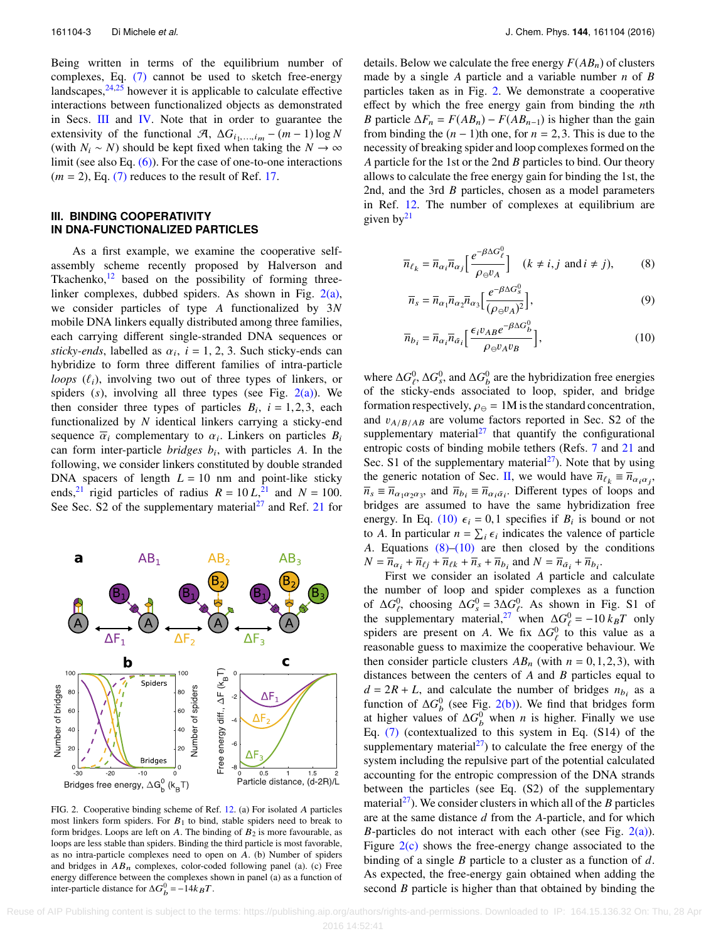Being written in terms of the equilibrium number of complexes, Eq. [\(7\)](#page-2-1) cannot be used to sketch free-energy landscapes, $24,25$  $24,25$  however it is applicable to calculate effective interactions between functionalized objects as demonstrated in Secs. [III](#page-3-0) and [IV.](#page-4-0) Note that in order to guarantee the extensivity of the functional  $\mathcal{A}, \Delta G_{i_1,...,i_m} - (m-1) \log N$ (with  $N_i$  ∼ *N*) should be kept fixed when taking the  $N \to \infty$ limit (see also Eq. [\(6\)\)](#page-2-7). For the case of one-to-one interactions  $(m = 2)$ , Eq.  $(7)$  reduces to the result of Ref. [17.](#page-5-9)

#### <span id="page-3-0"></span>**III. BINDING COOPERATIVITY IN DNA-FUNCTIONALIZED PARTICLES**

As a first example, we examine the cooperative selfassembly scheme recently proposed by Halverson and Tkachenko, $12$  based on the possibility of forming threelinker complexes, dubbed spiders. As shown in Fig. [2\(a\),](#page-3-1) we consider particles of type *A* functionalized by 3*N* mobile DNA linkers equally distributed among three families, each carrying different single-stranded DNA sequences or *sticky-ends*, labelled as  $\alpha_i$ ,  $i = 1, 2, 3$ . Such sticky-ends can<br>hybridize to form three different families of intra-particle hybridize to form three different families of intra-particle *loops*  $(\ell_i)$ , involving two out of three types of linkers, or spiders (*s*), involving all three types (see Fig. [2\(a\)\)](#page-3-1). We then consider three types of particles  $B_i$ ,  $i = 1,2,3$ , each functionalized by *N* identical linkers carrying a sticky-end functionalized by *N* identical linkers carrying a sticky-end sequence  $\overline{\alpha}_i$  complementary to  $\alpha_i$ . Linkers on particles  $B_i$ <br>can form inter-particle *bridges b*, with particles *A*. In the can form inter-particle *bridges b*<sup>i</sup> , with particles *A*. In the following, we consider linkers constituted by double stranded DNA spacers of length  $L = 10$  nm and point-like sticky ends,<sup>[21](#page-5-13)</sup> rigid particles of radius  $R = 10L<sup>21</sup>$  and  $N = 100$ . See Sec. S2 of the supplementary material<sup>[27](#page-5-18)</sup> and Ref. [21](#page-5-13) for

<span id="page-3-1"></span>

FIG. 2. Cooperative binding scheme of Ref. [12.](#page-5-5) (a) For isolated A particles most linkers form spiders. For  $B_1$  to bind, stable spiders need to break to form bridges. Loops are left on A. The binding of  $B_2$  is more favourable, as loops are less stable than spiders. Binding the third particle is most favorable, as no intra-particle complexes need to open on A. (b) Number of spiders and bridges in  $AB_n$  complexes, color-coded following panel (a). (c) Free energy difference between the complexes shown in panel (a) as a function of inter-particle distance for  $\Delta G_b^0 = -14k_BT$ .

details. Below we calculate the free energy  $F(AB_n)$  of clusters made by a single *A* particle and a variable number *n* of *B* particles taken as in Fig. [2.](#page-3-1) We demonstrate a cooperative effect by which the free energy gain from binding the *n*th *B* particle  $\Delta F_n = F(AB_n) - F(AB_{n-1})$  is higher than the gain from binding the  $(n - 1)$ th one, for  $n = 2, 3$ . This is due to the necessity of breaking spider and loop complexes formed on the *A* particle for the 1st or the 2nd *B* particles to bind. Our theory allows to calculate the free energy gain for binding the 1st, the 2nd, and the 3rd *B* particles, chosen as a model parameters in Ref. [12.](#page-5-5) The number of complexes at equilibrium are given  $by<sup>21</sup>$  $by<sup>21</sup>$  $by<sup>21</sup>$ 

$$
\overline{n}_{\ell_k} = \overline{n}_{\alpha_i} \overline{n}_{\alpha_j} \left[ \frac{e^{-\beta \Delta G_\ell^0}}{\rho_\Theta v_A} \right] \quad (k \neq i, j \text{ and } i \neq j), \tag{8}
$$

<span id="page-3-3"></span><span id="page-3-2"></span>
$$
\overline{n}_s = \overline{n}_{\alpha_1} \overline{n}_{\alpha_2} \overline{n}_{\alpha_3} \left[ \frac{e^{-\beta \Delta G_s^0}}{(\rho_{\ominus} \nu_A)^2} \right],\tag{9}
$$

$$
\overline{n}_{b_i} = \overline{n}_{\alpha_i} \overline{n}_{\bar{\alpha}_i} \left[ \frac{\epsilon_i v_{AB} e^{-\beta \Delta G_b^0}}{\rho_{\ominus} v_A v_B} \right],\tag{10}
$$

where  $\Delta G_e^0$ ,  $\Delta G_s^0$ , and  $\Delta G_b^0$  are the hybridization free energies of the sticky-ends associated to loop, spider, and bridge formation respectively,  $\rho_{\Theta} = 1$ M is the standard concentration, and  $v_{A/B/AB}$  are volume factors reported in Sec. S2 of the supplementary material $27$  that quantify the configurational entropic costs of binding mobile tethers (Refs. [7](#page-5-20) and [21](#page-5-13) and Sec. S1 of the supplementary material<sup>[27](#page-5-18)</sup>). Note that by using the generic notation of Sec. [II,](#page-1-1) we would have  $\overline{n}_{\ell_k} \equiv \overline{n}_{\alpha_i \alpha_j}$ ,  $\overline{n}_{\ell_k} \equiv \overline{n}_{\alpha_i \alpha_j}$  $\overline{n}_s \equiv \overline{n}_{\alpha_1 \alpha_2 \alpha_3}$ , and  $\overline{n}_{b_i} \equiv \overline{n}_{\alpha_i \overline{\alpha}_i}$ . Different types of loops and bridges are assumed to have the same hybridization free energy. In Eq. [\(10\)](#page-3-2)  $\epsilon_i = 0,1$  specifies if  $B_i$  is bound or not<br>to A. In particular  $n - \sum_i \epsilon_i$  indicates the valence of particle to *A*. In particular  $n = \sum_i \epsilon_i$  indicates the valence of particle 4. Fountions  $(8)-(10)$  are then closed by the conditions *A*. Equations  $(8)$ – $(10)$  are then closed by the conditions  $N = \overline{n}_{\alpha_i} + \overline{n}_{\ell j} + \overline{n}_{\ell k} + \overline{n}_{s} + \overline{n}_{b_i}$  and  $N = \overline{n}_{\alpha_i} + \overline{n}_{b_i}$ .<br>First we consider an isolated A pertials an

First we consider an isolated *A* particle and calculate the number of loop and spider complexes as a function of  $\Delta G_e^0$ , choosing  $\Delta G_s^0 = 3\Delta G_e^0$ . As shown in Fig. S1 of the supplementary material,<sup>[27](#page-5-18)</sup> when  $\Delta G_{\ell}^0 = -10 k_B T$  only spiders are present on *A*. We fix  $\Delta G_\ell^0$  to this value as a reasonable guess to maximize the cooperative behaviour. We then consider particle clusters  $AB_n$  (with  $n = 0, 1, 2, 3$ ), with distances between the centers of *A* and *B* particles equal to  $d = 2R + L$ , and calculate the number of bridges  $n_{b_i}$  as a function of  $\Delta G_b^0$  (see Fig. [2\(b\)\)](#page-3-1). We find that bridges form at higher values of  $\Delta G_b^0$  when *n* is higher. Finally we use Eq. [\(7\)](#page-2-1) (contextualized to this system in Eq. (S14) of the supplementary material $^{27}$  $^{27}$  $^{27}$ ) to calculate the free energy of the system including the repulsive part of the potential calculated accounting for the entropic compression of the DNA strands between the particles (see Eq. (S2) of the supplementary material<sup>[27](#page-5-18)</sup>). We consider clusters in which all of the *B* particles are at the same distance *d* from the *A*-particle, and for which *B*-particles do not interact with each other (see Fig.  $2(a)$ ). Figure  $2(c)$  shows the free-energy change associated to the binding of a single *B* particle to a cluster as a function of *d*. As expected, the free-energy gain obtained when adding the second *B* particle is higher than that obtained by binding the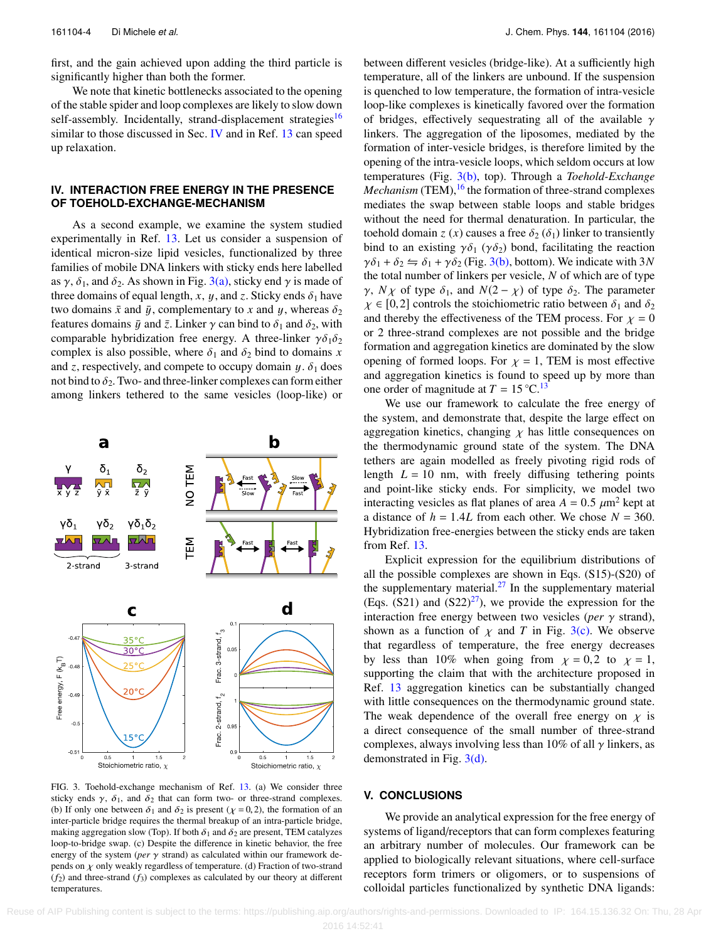first, and the gain achieved upon adding the third particle is significantly higher than both the former.

We note that kinetic bottlenecks associated to the opening of the stable spider and loop complexes are likely to slow down self-assembly. Incidentally, strand-displacement strategies<sup>[16](#page-5-8)</sup> similar to those discussed in Sec. [IV](#page-4-0) and in Ref. [13](#page-5-7) can speed up relaxation.

### <span id="page-4-0"></span>**IV. INTERACTION FREE ENERGY IN THE PRESENCE OF TOEHOLD-EXCHANGE-MECHANISM**

As a second example, we examine the system studied experimentally in Ref. [13.](#page-5-7) Let us consider a suspension of identical micron-size lipid vesicles, functionalized by three families of mobile DNA linkers with sticky ends here labelled as  $\gamma$ ,  $\delta_1$ , and  $\delta_2$ . As shown in Fig. [3\(a\),](#page-4-1) sticky end  $\gamma$  is made of three domains of equal length, *x*, *y*, and *z*. Sticky ends  $\delta_1$  have two domains  $\bar{x}$  and  $\bar{y}$ , complementary to *x* and *y*, whereas  $\delta_2$ features domains  $\bar{y}$  and  $\bar{z}$ . Linker  $\gamma$  can bind to  $\delta_1$  and  $\delta_2$ , with comparable hybridization free energy. A three-linker  $\gamma \delta_1 \delta_2$ complex is also possible, where  $\delta_1$  and  $\delta_2$  bind to domains *x* and *z*, respectively, and compete to occupy domain  $y \cdot \delta_1$  does not bind to  $\delta_2$ . Two- and three-linker complexes can form either among linkers tethered to the same vesicles (loop-like) or

<span id="page-4-1"></span>

FIG. 3. Toehold-exchange mechanism of Ref. [13.](#page-5-7) (a) We consider three sticky ends  $\gamma$ ,  $\delta_1$ , and  $\delta_2$  that can form two- or three-strand complexes. (b) If only one between  $\delta_1$  and  $\delta_2$  is present ( $\chi = 0, 2$ ), the formation of an inter-particle bridge requires the thermal breakup of an intra-particle bridge, making aggregation slow (Top). If both  $\delta_1$  and  $\delta_2$  are present, TEM catalyzes loop-to-bridge swap. (c) Despite the difference in kinetic behavior, the free energy of the system ( $per \gamma$  strand) as calculated within our framework depends on  $\chi$  only weakly regardless of temperature. (d) Fraction of two-strand  $(f_2)$  and three-strand  $(f_3)$  complexes as calculated by our theory at different temperatures.

between different vesicles (bridge-like). At a sufficiently high temperature, all of the linkers are unbound. If the suspension is quenched to low temperature, the formation of intra-vesicle loop-like complexes is kinetically favored over the formation of bridges, effectively sequestrating all of the available  $\gamma$ linkers. The aggregation of the liposomes, mediated by the formation of inter-vesicle bridges, is therefore limited by the opening of the intra-vesicle loops, which seldom occurs at low temperatures (Fig. [3\(b\),](#page-4-1) top). Through a *Toehold-Exchange Mechanism* (TEM),<sup>[16](#page-5-8)</sup> the formation of three-strand complexes mediates the swap between stable loops and stable bridges without the need for thermal denaturation. In particular, the toehold domain *z* (*x*) causes a free  $\delta_2(\delta_1)$  linker to transiently bind to an existing  $\gamma \delta_1$  ( $\gamma \delta_2$ ) bond, facilitating the reaction  $\gamma \delta_1 + \delta_2 \leftrightharpoons \delta_1 + \gamma \delta_2$  (Fig. [3\(b\),](#page-4-1) bottom). We indicate with 3*N* the total number of linkers per vesicle, *N* of which are of type *γ*, *N χ* of type  $\delta_1$ , and *N*(2 – *χ*) of type  $\delta_2$ . The parameter  $\chi \in [0,2]$  controls the stoichiometric ratio between  $\delta_1$  and  $\delta_2$ and thereby the effectiveness of the TEM process. For  $\chi = 0$ or 2 three-strand complexes are not possible and the bridge formation and aggregation kinetics are dominated by the slow opening of formed loops. For  $\chi = 1$ , TEM is most effective and aggregation kinetics is found to speed up by more than one order of magnitude at  $T = 15 \degree \text{C}$ .<sup>[13](#page-5-7)</sup>

We use our framework to calculate the free energy of the system, and demonstrate that, despite the large effect on aggregation kinetics, changing  $\chi$  has little consequences on the thermodynamic ground state of the system. The DNA tethers are again modelled as freely pivoting rigid rods of length  $L = 10$  nm, with freely diffusing tethering points and point-like sticky ends. For simplicity, we model two interacting vesicles as flat planes of area  $A = 0.5 \ \mu \text{m}^2$  kept at a distance of  $h = 1.4L$  from each other. We chose  $N = 360$ . Hybridization free-energies between the sticky ends are taken from Ref. [13.](#page-5-7)

Explicit expression for the equilibrium distributions of all the possible complexes are shown in Eqs. (S15)-(S20) of the supplementary material. $2<sup>7</sup>$  In the supplementary material (Eqs. (S21) and (S22)<sup>[27](#page-5-18)</sup>), we provide the expression for the interaction free energy between two vesicles (*per* γ strand), shown as a function of  $\chi$  and *T* in Fig. [3\(c\).](#page-4-1) We observe that regardless of temperature, the free energy decreases by less than 10% when going from  $\chi = 0.2$  to  $\chi = 1$ , supporting the claim that with the architecture proposed in Ref. [13](#page-5-7) aggregation kinetics can be substantially changed with little consequences on the thermodynamic ground state. The weak dependence of the overall free energy on  $\chi$  is a direct consequence of the small number of three-strand complexes, always involving less than 10% of all  $\gamma$  linkers, as demonstrated in Fig. [3\(d\).](#page-4-1)

#### **V. CONCLUSIONS**

We provide an analytical expression for the free energy of systems of ligand/receptors that can form complexes featuring an arbitrary number of molecules. Our framework can be applied to biologically relevant situations, where cell-surface receptors form trimers or oligomers, or to suspensions of colloidal particles functionalized by synthetic DNA ligands:

Reuse of AIP Publishing content is subject to the terms: https://publishing.aip.org/authors/rights-and-permissions. Downloaded to IP: 164.15.136.32 On: Thu, 28 Apr